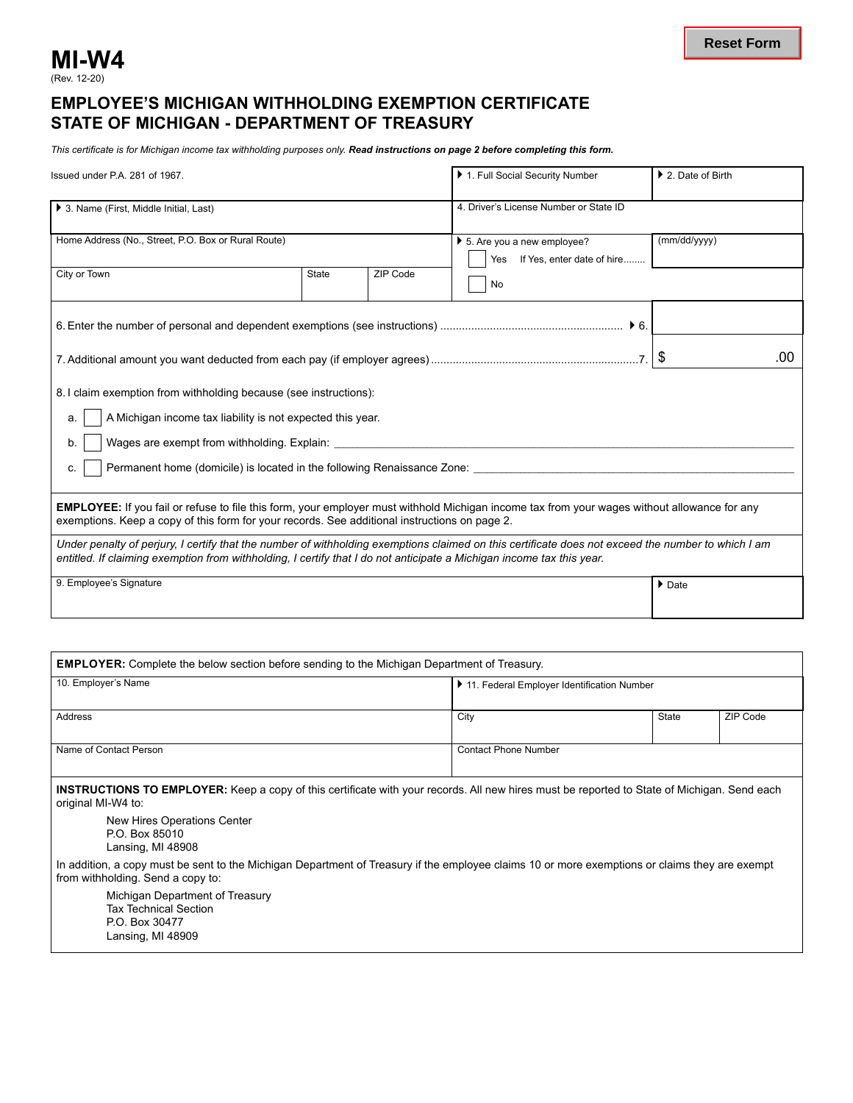## **MI-W4**

## **EMPLOYEE'S MICHIGAN WITHHOLDING EXEMPTION CERTIFICATE STATE OF MICHIGAN - DEPARTMENT OF TREASURY**

*This certificate is for Michigan income tax withholding purposes only. Read instructions on page 2 before completing this form.*

| Issued under P.A. 281 of 1967.                                                                                                                                                                                                                                              |              |          | 1. Full Social Security Number                                                   | ▶ 2. Date of Birth    |  |
|-----------------------------------------------------------------------------------------------------------------------------------------------------------------------------------------------------------------------------------------------------------------------------|--------------|----------|----------------------------------------------------------------------------------|-----------------------|--|
| ▶ 3. Name (First, Middle Initial, Last)                                                                                                                                                                                                                                     |              |          | 4. Driver's License Number or State ID                                           |                       |  |
| Home Address (No., Street, P.O. Box or Rural Route)                                                                                                                                                                                                                         |              |          | $\triangleright$ 5. Are you a new employee?<br>If Yes, enter date of hire<br>Yes | (mm/dd/yyyy)          |  |
| City or Town                                                                                                                                                                                                                                                                | <b>State</b> | ZIP Code | No                                                                               |                       |  |
|                                                                                                                                                                                                                                                                             |              |          |                                                                                  |                       |  |
|                                                                                                                                                                                                                                                                             |              |          |                                                                                  | .00                   |  |
| 8. I claim exemption from withholding because (see instructions):                                                                                                                                                                                                           |              |          |                                                                                  |                       |  |
| A Michigan income tax liability is not expected this year.<br>a.                                                                                                                                                                                                            |              |          |                                                                                  |                       |  |
| b.                                                                                                                                                                                                                                                                          |              |          |                                                                                  |                       |  |
| Permanent home (domicile) is located in the following Renaissance Zone:<br>C.                                                                                                                                                                                               |              |          |                                                                                  |                       |  |
| <b>EMPLOYEE:</b> If you fail or refuse to file this form, your employer must withhold Michigan income tax from your wages without allowance for any<br>exemptions. Keep a copy of this form for your records. See additional instructions on page 2.                        |              |          |                                                                                  |                       |  |
| Under penalty of perjury. I certify that the number of withholding exemptions claimed on this certificate does not exceed the number to which I am<br>entitled. If claiming exemption from withholding, I certify that I do not anticipate a Michigan income tax this year. |              |          |                                                                                  |                       |  |
| 9. Employee's Signature                                                                                                                                                                                                                                                     |              |          |                                                                                  | $\triangleright$ Date |  |

| <b>EMPLOYER:</b> Complete the below section before sending to the Michigan Department of Treasury.                                                                                  |                                            |       |          |  |  |  |
|-------------------------------------------------------------------------------------------------------------------------------------------------------------------------------------|--------------------------------------------|-------|----------|--|--|--|
| 10. Employer's Name                                                                                                                                                                 | 11. Federal Employer Identification Number |       |          |  |  |  |
|                                                                                                                                                                                     |                                            |       |          |  |  |  |
| Address                                                                                                                                                                             | City                                       | State | ZIP Code |  |  |  |
|                                                                                                                                                                                     |                                            |       |          |  |  |  |
| Name of Contact Person                                                                                                                                                              | <b>Contact Phone Number</b>                |       |          |  |  |  |
|                                                                                                                                                                                     |                                            |       |          |  |  |  |
| <b>INSTRUCTIONS TO EMPLOYER:</b> Keep a copy of this certificate with your records. All new hires must be reported to State of Michigan. Send each<br>original MI-W4 to:            |                                            |       |          |  |  |  |
| New Hires Operations Center<br>P.O. Box 85010<br>Lansing, MI 48908                                                                                                                  |                                            |       |          |  |  |  |
| In addition, a copy must be sent to the Michigan Department of Treasury if the employee claims 10 or more exemptions or claims they are exempt<br>from withholding. Send a copy to: |                                            |       |          |  |  |  |
| Michigan Department of Treasury<br><b>Tax Technical Section</b><br>P.O. Box 30477<br>Lansing, MI 48909                                                                              |                                            |       |          |  |  |  |
|                                                                                                                                                                                     |                                            |       |          |  |  |  |